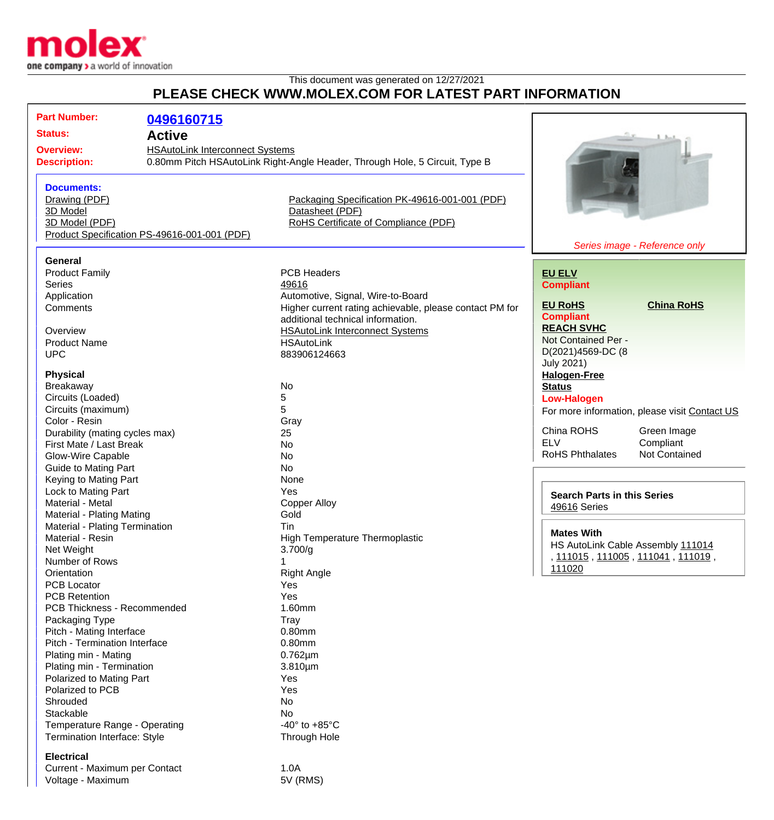

Current - Maximum per Contact 1.0A<br>Voltage - Maximum 1.0A 5V (RMS)

Voltage - Maximum

## This document was generated on 12/27/2021 **PLEASE CHECK WWW.MOLEX.COM FOR LATEST PART INFORMATION**

| <b>Part Number:</b>                                                                                    | 0496160715    |                                                                             |                                                                                                       |                               |
|--------------------------------------------------------------------------------------------------------|---------------|-----------------------------------------------------------------------------|-------------------------------------------------------------------------------------------------------|-------------------------------|
| <b>Status:</b>                                                                                         | <b>Active</b> |                                                                             |                                                                                                       |                               |
|                                                                                                        |               |                                                                             |                                                                                                       |                               |
| <b>HSAutoLink Interconnect Systems</b><br><b>Overview:</b>                                             |               |                                                                             |                                                                                                       |                               |
| <b>Description:</b>                                                                                    |               | 0.80mm Pitch HSAutoLink Right-Angle Header, Through Hole, 5 Circuit, Type B |                                                                                                       |                               |
|                                                                                                        |               |                                                                             |                                                                                                       |                               |
| <b>Documents:</b>                                                                                      |               |                                                                             |                                                                                                       |                               |
| Drawing (PDF)                                                                                          |               | Packaging Specification PK-49616-001-001 (PDF)                              |                                                                                                       |                               |
| 3D Model                                                                                               |               | Datasheet (PDF)                                                             |                                                                                                       |                               |
| RoHS Certificate of Compliance (PDF)<br>3D Model (PDF)<br>Product Specification PS-49616-001-001 (PDF) |               |                                                                             |                                                                                                       |                               |
|                                                                                                        |               |                                                                             |                                                                                                       | Series image - Reference only |
| General                                                                                                |               |                                                                             |                                                                                                       |                               |
| <b>Product Family</b>                                                                                  |               | <b>PCB Headers</b>                                                          | <b>EU ELV</b>                                                                                         |                               |
| <b>Series</b>                                                                                          |               | 49616                                                                       |                                                                                                       |                               |
| Application                                                                                            |               | Automotive, Signal, Wire-to-Board                                           | <b>Compliant</b>                                                                                      |                               |
| Comments                                                                                               |               | Higher current rating achievable, please contact PM for                     | <b>EU RoHS</b>                                                                                        | <b>China RoHS</b>             |
|                                                                                                        |               | additional technical information.                                           | <b>Compliant</b>                                                                                      |                               |
| Overview                                                                                               |               | <b>HSAutoLink Interconnect Systems</b>                                      | <b>REACH SVHC</b>                                                                                     |                               |
| <b>Product Name</b>                                                                                    |               | <b>HSAutoLink</b>                                                           | Not Contained Per -                                                                                   |                               |
| <b>UPC</b>                                                                                             |               | 883906124663                                                                | D(2021)4569-DC (8                                                                                     |                               |
|                                                                                                        |               |                                                                             | <b>July 2021)</b>                                                                                     |                               |
| <b>Physical</b>                                                                                        |               |                                                                             | <b>Halogen-Free</b>                                                                                   |                               |
| Breakaway                                                                                              |               | No                                                                          | <b>Status</b>                                                                                         |                               |
| Circuits (Loaded)                                                                                      |               | 5                                                                           | <b>Low-Halogen</b>                                                                                    |                               |
| Circuits (maximum)                                                                                     |               | 5                                                                           | For more information, please visit Contact US                                                         |                               |
| Color - Resin                                                                                          |               | Gray                                                                        |                                                                                                       |                               |
| Durability (mating cycles max)                                                                         |               | 25                                                                          | China ROHS                                                                                            | Green Image                   |
| First Mate / Last Break                                                                                |               | No                                                                          | <b>ELV</b>                                                                                            | Compliant                     |
| Glow-Wire Capable                                                                                      |               | No                                                                          | <b>RoHS Phthalates</b>                                                                                | <b>Not Contained</b>          |
| <b>Guide to Mating Part</b>                                                                            |               | No                                                                          |                                                                                                       |                               |
| Keying to Mating Part                                                                                  |               | None                                                                        |                                                                                                       |                               |
| Lock to Mating Part                                                                                    |               | Yes                                                                         | <b>Search Parts in this Series</b><br>49616 Series                                                    |                               |
| Material - Metal                                                                                       |               | <b>Copper Alloy</b>                                                         |                                                                                                       |                               |
| Material - Plating Mating                                                                              |               | Gold                                                                        |                                                                                                       |                               |
| Material - Plating Termination                                                                         |               | Tin                                                                         | <b>Mates With</b><br>HS AutoLink Cable Assembly 111014<br>, 111015, 111005, 111041, 111019,<br>111020 |                               |
| Material - Resin                                                                                       |               | <b>High Temperature Thermoplastic</b>                                       |                                                                                                       |                               |
| Net Weight                                                                                             |               | 3.700/g                                                                     |                                                                                                       |                               |
| Number of Rows                                                                                         |               | 1                                                                           |                                                                                                       |                               |
| Orientation                                                                                            |               | <b>Right Angle</b>                                                          |                                                                                                       |                               |
| <b>PCB Locator</b>                                                                                     |               | Yes                                                                         |                                                                                                       |                               |
| <b>PCB Retention</b>                                                                                   |               | Yes                                                                         |                                                                                                       |                               |
| PCB Thickness - Recommended                                                                            |               | 1.60mm                                                                      |                                                                                                       |                               |
| Packaging Type<br>Pitch - Mating Interface                                                             |               | Tray                                                                        |                                                                                                       |                               |
| Pitch - Termination Interface                                                                          |               | 0.80mm<br>0.80mm                                                            |                                                                                                       |                               |
| Plating min - Mating                                                                                   |               | $0.762 \mu m$                                                               |                                                                                                       |                               |
| Plating min - Termination                                                                              |               | $3.810 \mu m$                                                               |                                                                                                       |                               |
| Polarized to Mating Part                                                                               |               | Yes                                                                         |                                                                                                       |                               |
| Polarized to PCB                                                                                       |               | Yes                                                                         |                                                                                                       |                               |
| Shrouded                                                                                               |               | No                                                                          |                                                                                                       |                               |
| Stackable                                                                                              |               | No                                                                          |                                                                                                       |                               |
| Temperature Range - Operating                                                                          |               | -40 $\degree$ to +85 $\degree$ C                                            |                                                                                                       |                               |
| Termination Interface: Style                                                                           |               | <b>Through Hole</b>                                                         |                                                                                                       |                               |
|                                                                                                        |               |                                                                             |                                                                                                       |                               |
| <b>Electrical</b>                                                                                      |               |                                                                             |                                                                                                       |                               |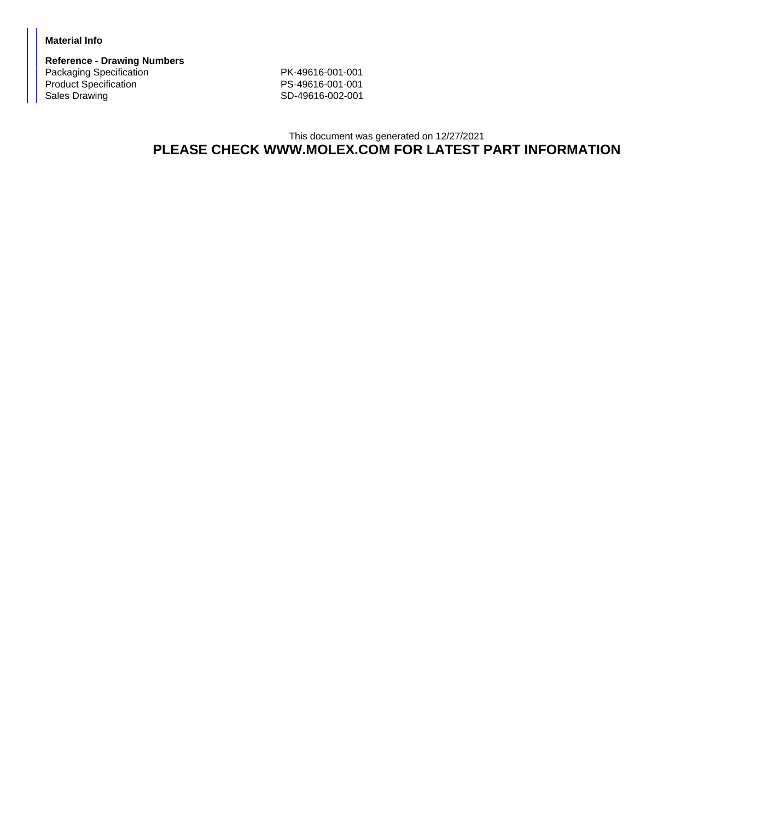## **Material Info**

**Reference - Drawing Numbers** Packaging Specification PK-49616-001-001<br>Product Specification PS-49616-001-001 Product Specification<br>Sales Drawing

SD-49616-002-001

## This document was generated on 12/27/2021 **PLEASE CHECK WWW.MOLEX.COM FOR LATEST PART INFORMATION**